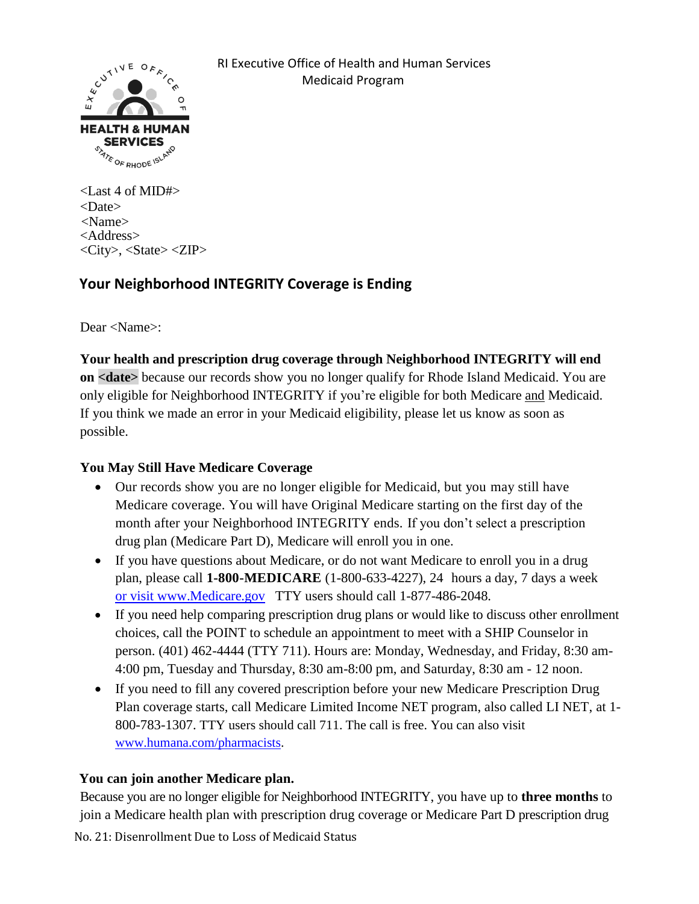

<Last 4 of MID#> <Date> <Name> <Address> <City>, <State> <ZIP>

# **Your Neighborhood INTEGRITY Coverage is Ending**

Dear <Name>:

**Your health and prescription drug coverage through Neighborhood INTEGRITY will end on <date>** because our records show you no longer qualify for Rhode Island Medicaid. You are only eligible for Neighborhood INTEGRITY if you're eligible for both Medicare and Medicaid. If you think we made an error in your Medicaid eligibility, please let us know as soon as possible.

### **You May Still Have Medicare Coverage**

- Our records show you are no longer eligible for Medicaid, but you may still have Medicare coverage. You will have Original Medicare starting on the first day of the month after your Neighborhood INTEGRITY ends. If you don't select a prescription drug plan (Medicare Part D), Medicare will enroll you in one.
- If you have questions about Medicare, or do not want Medicare to enroll you in a drug plan, please call **1-800-MEDICARE** (1-800-633-4227), 24 hours a day, 7 days a week or visit www.Medicare.gov TTY users should call 1-877-486-2048.
- If you need help comparing prescription drug plans or would like to discuss other enrollment choices, call the POINT to schedule an appointment to meet with a SHIP Counselor in person. (401) 462-4444 (TTY 711). Hours are: Monday, Wednesday, and Friday, 8:30 am-4:00 pm, Tuesday and Thursday, 8:30 am-8:00 pm, and Saturday, 8:30 am - 12 noon.
- If you need to fill any covered prescription before your new Medicare Prescription Drug Plan coverage starts, call Medicare Limited Income NET program, also called LI NET, at 1- 800-783-1307. TTY users should call 711. The call is free. You can also visit [www.humana.com/pharmacists.](http://www.humana.com/pharmacists)

## **You can join another Medicare plan.**

No. 21: Disenrollment Due to Loss of Medicaid Status Because you are no longer eligible for Neighborhood INTEGRITY, you have up to **three months** to join a Medicare health plan with prescription drug coverage or Medicare Part D prescription drug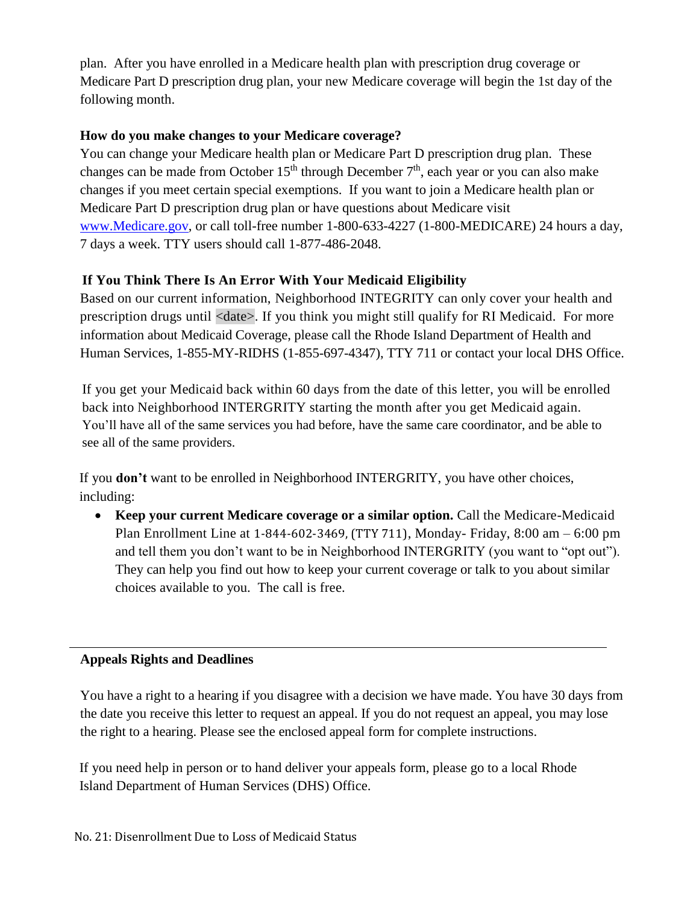plan. After you have enrolled in a Medicare health plan with prescription drug coverage or Medicare Part D prescription drug plan, your new Medicare coverage will begin the 1st day of the following month.

#### **How do you make changes to your Medicare coverage?**

You can change your Medicare health plan or Medicare Part D prescription drug plan. These changes can be made from October  $15<sup>th</sup>$  through December  $7<sup>th</sup>$ , each year or you can also make changes if you meet certain special exemptions. If you want to join a Medicare health plan or Medicare Part D prescription drug plan or have questions about Medicare visit [www.Medicare.gov,](http://www.medicare.gov/) or call toll-free number 1-800-633-4227 (1-800-MEDICARE) 24 hours a day, 7 days a week. TTY users should call 1-877-486-2048.

## **If You Think There Is An Error With Your Medicaid Eligibility**

Based on our current information, Neighborhood INTEGRITY can only cover your health and prescription drugs until <date>. If you think you might still qualify for RI Medicaid. For more information about Medicaid Coverage, please call the Rhode Island Department of Health and Human Services, 1-855-MY-RIDHS (1-855-697-4347), TTY 711 or contact your local DHS Office.

If you get your Medicaid back within 60 days from the date of this letter, you will be enrolled back into Neighborhood INTERGRITY starting the month after you get Medicaid again. You'll have all of the same services you had before, have the same care coordinator, and be able to see all of the same providers.

If you **don't** want to be enrolled in Neighborhood INTERGRITY, you have other choices, including:

• **Keep your current Medicare coverage or a similar option.** Call the Medicare-Medicaid Plan Enrollment Line at 1-844-602-3469, (TTY 711), Monday- Friday, 8:00 am – 6:00 pm and tell them you don't want to be in Neighborhood INTERGRITY (you want to "opt out"). They can help you find out how to keep your current coverage or talk to you about similar choices available to you. The call is free.

### **Appeals Rights and Deadlines**

You have a right to a hearing if you disagree with a decision we have made. You have 30 days from the date you receive this letter to request an appeal. If you do not request an appeal, you may lose the right to a hearing. Please see the enclosed appeal form for complete instructions.

If you need help in person or to hand deliver your appeals form, please go to a local Rhode Island Department of Human Services (DHS) Office.